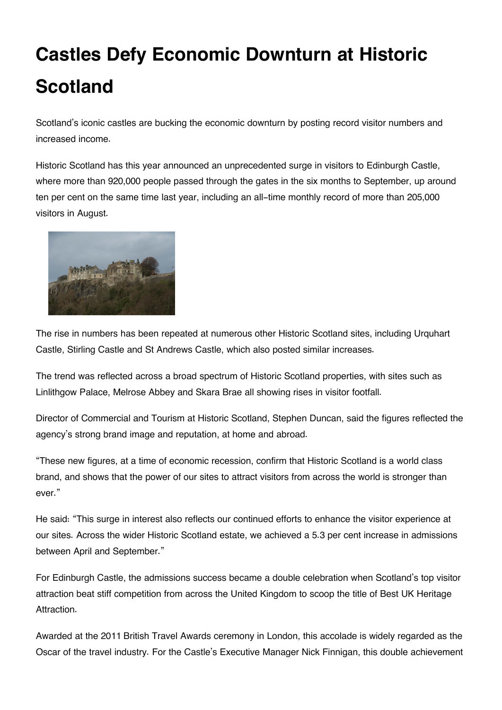## **Castles Defy Economic Downturn at Historic Scotland**

Scotland's iconic castles are bucking the economic downturn by posting record visitor numbers and increased income.

Historic Scotland has this year announced an unprecedented surge in visitors to Edinburgh Castle, where more than 920,000 people passed through the gates in the six months to September, up around ten per cent on the same time last year, including an all-time monthly record of more than 205,000 visitors in August.



The rise in numbers has been repeated at numerous other Historic Scotland sites, including Urquhart Castle, Stirling Castle and St Andrews Castle, which also posted similar increases.

The trend was reflected across a broad spectrum of Historic Scotland properties, with sites such as Linlithgow Palace, Melrose Abbey and Skara Brae all showing rises in visitor footfall.

Director of Commercial and Tourism at Historic Scotland, Stephen Duncan, said the figures reflected the agency's strong brand image and reputation, at home and abroad.

"These new figures, at a time of economic recession, confirm that Historic Scotland is a world class brand, and shows that the power of our sites to attract visitors from across the world is stronger than ever."

He said: "This surge in interest also reflects our continued efforts to enhance the visitor experience at our sites. Across the wider Historic Scotland estate, we achieved a 5.3 per cent increase in admissions between April and September."

For Edinburgh Castle, the admissions success became a double celebration when Scotland's top visitor attraction beat stiff competition from across the United Kingdom to scoop the title of Best UK Heritage Attraction.

Awarded at the 2011 British Travel Awards ceremony in London, this accolade is widely regarded as the Oscar of the travel industry. For the Castle's Executive Manager Nick Finnigan, this double achievement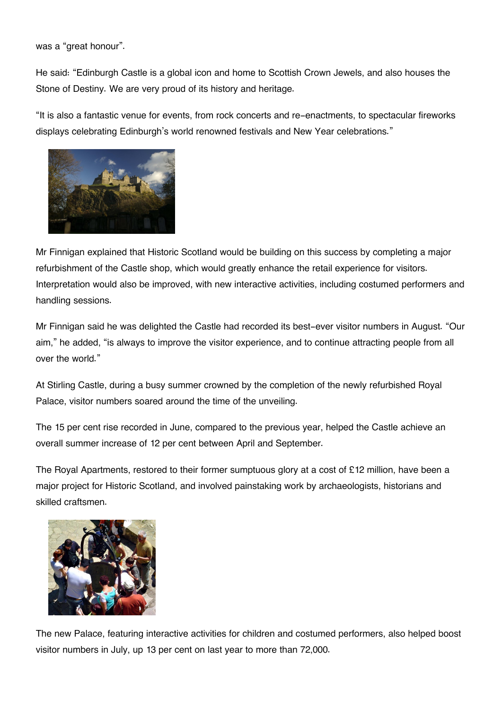was a "great honour".

He said: "Edinburgh Castle is a global icon and home to Scottish Crown Jewels, and also houses the Stone of Destiny. We are very proud of its history and heritage.

"It is also a fantastic venue for events, from rock concerts and re-enactments, to spectacular fireworks displays celebrating Edinburgh's world renowned festivals and New Year celebrations."



Mr Finnigan explained that Historic Scotland would be building on this success by completing a major refurbishment of the Castle shop, which would greatly enhance the retail experience for visitors. Interpretation would also be improved, with new interactive activities, including costumed performers and handling sessions.

Mr Finnigan said he was delighted the Castle had recorded its best-ever visitor numbers in August. "Our aim," he added, "is always to improve the visitor experience, and to continue attracting people from all over the world."

At Stirling Castle, during a busy summer crowned by the completion of the newly refurbished Royal Palace, visitor numbers soared around the time of the unveiling.

The 15 per cent rise recorded in June, compared to the previous year, helped the Castle achieve an overall summer increase of 12 per cent between April and September.

The Royal Apartments, restored to their former sumptuous glory at a cost of £12 million, have been a major project for Historic Scotland, and involved painstaking work by archaeologists, historians and skilled craftsmen.



The new Palace, featuring interactive activities for children and costumed performers, also helped boost visitor numbers in July, up 13 per cent on last year to more than 72,000.